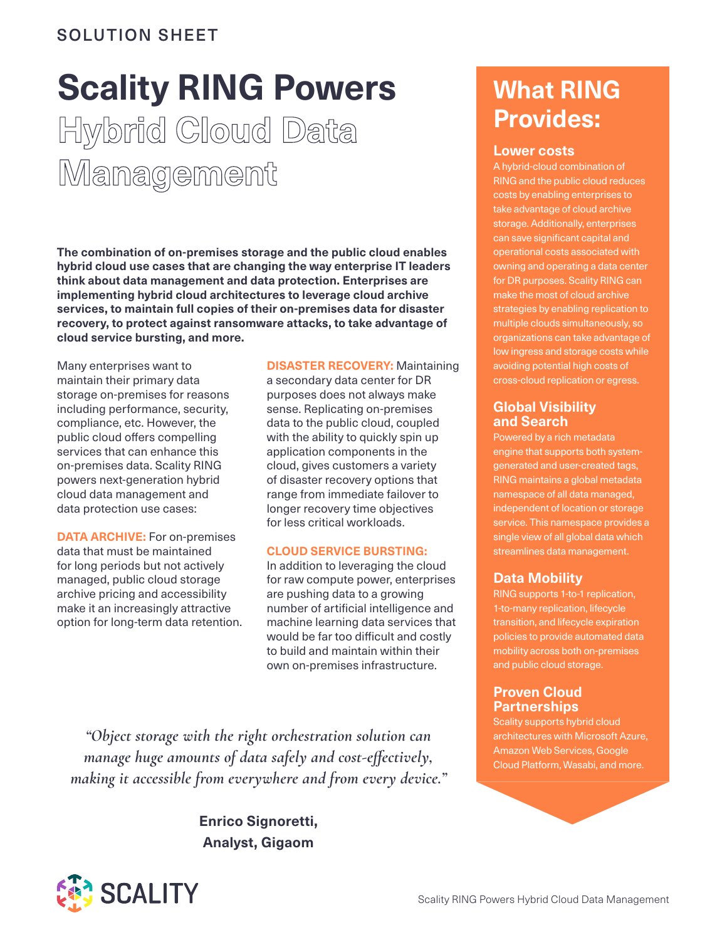# SOLUTION SHEET

# **Scality RING Powers Hybrid Cloud Data Management**

**The combination of on-premises storage and the public cloud enables hybrid cloud use cases that are changing the way enterprise IT leaders think about data management and data protection. Enterprises are implementing hybrid cloud architectures to leverage cloud archive services, to maintain full copies of their on-premises data for disaster recovery, to protect against ransomware attacks, to take advantage of cloud service bursting, and more.** 

Many enterprises want to maintain their primary data storage on-premises for reasons including performance, security, compliance, etc. However, the public cloud offers compelling services that can enhance this on-premises data. Scality RING powers next-generation hybrid cloud data management and data protection use cases:

**DATA ARCHIVE:** For on-premises data that must be maintained for long periods but not actively managed, public cloud storage archive pricing and accessibility make it an increasingly attractive option for long-term data retention. **DISASTER RECOVERY:** Maintaining a secondary data center for DR

purposes does not always make sense. Replicating on-premises data to the public cloud, coupled with the ability to quickly spin up application components in the cloud, gives customers a variety of disaster recovery options that range from immediate failover to longer recovery time objectives for less critical workloads.

#### **CLOUD SERVICE BURSTING:**

In addition to leveraging the cloud for raw compute power, enterprises are pushing data to a growing number of artificial intelligence and machine learning data services that would be far too difficult and costly to build and maintain within their own on-premises infrastructure.

*"Object storage with the right orchestration solution can manage huge amounts of data safely and cost-effectively, making it accessible from everywhere and from every device."*

> **Enrico Signoretti, Analyst, Gigaom**



# **What RING Provides:**

#### **Lower costs**

A hybrid-cloud combination of RING and the public cloud reduces costs by enabling enterprises to take advantage of cloud archive storage. Additionally, enterprises can save significant capital and operational costs associated with owning and operating a data center for DR purposes. Scality RING can make the most of cloud archive strategies by enabling replication to multiple clouds simultaneously, so organizations can take advantage of low ingress and storage costs while avoiding potential high costs of cross-cloud replication or egress.

## **Global Visibility and Search**

Powered by a rich metadata engine that supports both systemgenerated and user-created tags, RING maintains a global metadata namespace of all data managed, independent of location or storage service. This namespace provides a single view of all global data which streamlines data management.

# **Data Mobility**

RING supports 1-to-1 replication, 1-to-many replication, lifecycle transition, and lifecycle expiration policies to provide automated data mobility across both on-premises and public cloud storage.

# **Proven Cloud Partnerships**

Scality supports hybrid cloud architectures with Microsoft Azure, Amazon Web Services, Google Cloud Platform, Wasabi, and more.